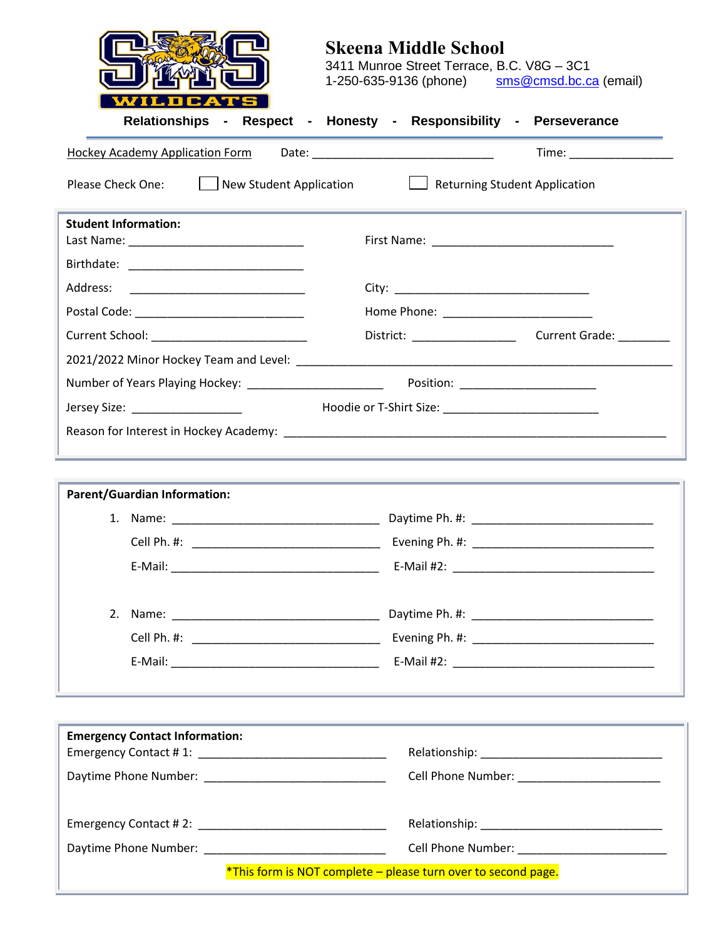|                                        | <b>Skeena Middle School</b><br>3411 Munroe Street Terrace, B.C. V8G - 3C1<br>1-250-635-9136 (phone) sms@cmsd.bc.ca (email) |
|----------------------------------------|----------------------------------------------------------------------------------------------------------------------------|
|                                        | Relationships - Respect - Honesty - Responsibility - Perseverance                                                          |
| <b>Hockey Academy Application Form</b> | Time: _________________                                                                                                    |
| Please Check One:                      | New Student Application <b>Netwitted Student Application</b>                                                               |
| <b>Student Information:</b>            |                                                                                                                            |
|                                        |                                                                                                                            |
|                                        |                                                                                                                            |
|                                        |                                                                                                                            |
|                                        |                                                                                                                            |
|                                        |                                                                                                                            |
|                                        |                                                                                                                            |
|                                        |                                                                                                                            |
|                                        |                                                                                                                            |
|                                        | ,我们也不能在这里的时候,我们也不能在这里的时候,我们也不能在这里的时候,我们也不能会在这里的时候,我们也不能会在这里的时候,我们也不能会在这里的时候,我们也不能                                          |
| <b>Parent/Guardian Information:</b>    | the contract of the contract of the contract of the contract of the contract of the contract of the contract of            |
|                                        |                                                                                                                            |
|                                        |                                                                                                                            |
|                                        |                                                                                                                            |
|                                        |                                                                                                                            |
|                                        |                                                                                                                            |
|                                        |                                                                                                                            |
|                                        |                                                                                                                            |
|                                        | <u> 1989 - Andrea Santa Andrea Andrea Andrea Andrea Andrea Andrea Andrea Andrea Andrea Andrea Andrea Andrea Andr</u>       |
| <b>Emergency Contact Information:</b>  |                                                                                                                            |
|                                        |                                                                                                                            |
|                                        | Cell Phone Number: __________________________                                                                              |
|                                        |                                                                                                                            |
|                                        |                                                                                                                            |
|                                        | *This form is NOT complete - please turn over to second page.                                                              |